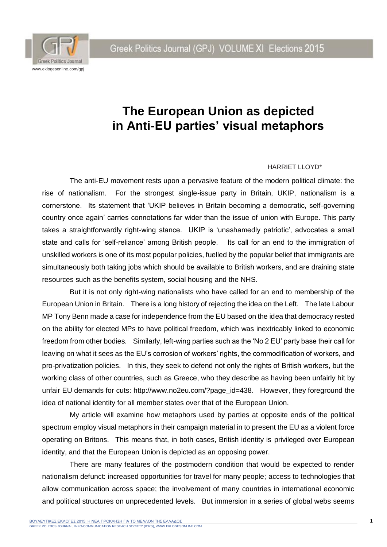Greek Politics Journal (GPJ) VOLUME XI Elections 2015



## **The European Union as depicted in Anti-EU parties' visual metaphors**

## HARRIET LLOYD\*

The anti-EU movement rests upon a pervasive feature of the modern political climate: the rise of nationalism. For the strongest single-issue party in Britain, UKIP, nationalism is a cornerstone. Its statement that 'UKIP believes in Britain becoming a democratic, self-governing country once again' carries connotations far wider than the issue of union with Europe. This party takes a straightforwardly right-wing stance. UKIP is 'unashamedly patriotic', advocates a small state and calls for 'self-reliance' among British people. Its call for an end to the immigration of unskilled workers is one of its most popular policies, fuelled by the popular belief that immigrants are simultaneously both taking jobs which should be available to British workers, and are draining state resources such as the benefits system, social housing and the NHS.

But it is not only right-wing nationalists who have called for an end to membership of the European Union in Britain. There is a long history of rejecting the idea on the Left. The late Labour MP Tony Benn made a case for independence from the EU based on the idea that democracy rested on the ability for elected MPs to have political freedom, which was inextricably linked to economic freedom from other bodies. Similarly, left-wing parties such as the 'No 2 EU' party base their call for leaving on what it sees as the EU's corrosion of workers' rights, the commodification of workers, and pro-privatization policies. In this, they seek to defend not only the rights of British workers, but the working class of other countries, such as Greece, who they describe as having been unfairly hit by unfair EU demands for cuts: [http://www.no2eu.com/?page\\_id=438.](http://www.no2eu.com/?page_id=438) However, they foreground the idea of national identity for all member states over that of the European Union.

My article will examine how metaphors used by parties at opposite ends of the political spectrum employ visual metaphors in their campaign material in to present the EU as a violent force operating on Britons. This means that, in both cases, British identity is privileged over European identity, and that the European Union is depicted as an opposing power.

There are many features of the postmodern condition that would be expected to render nationalism defunct: increased opportunities for travel for many people; access to technologies that allow communication across space; the involvement of many countries in international economic and political structures on unprecedented levels. But immersion in a series of global webs seems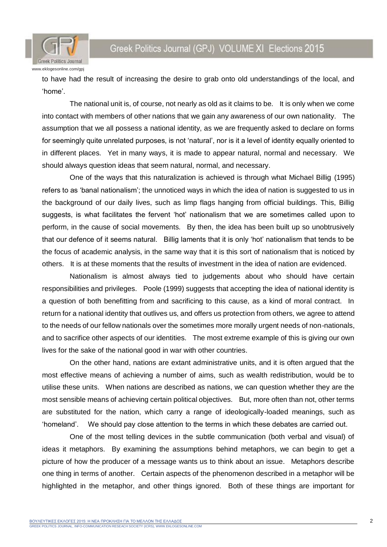



to have had the result of increasing the desire to grab onto old understandings of the local, and 'home'.

The national unit is, of course, not nearly as old as it claims to be. It is only when we come into contact with members of other nations that we gain any awareness of our own nationality. The assumption that we all possess a national identity, as we are frequently asked to declare on forms for seemingly quite unrelated purposes, is not 'natural', nor is it a level of identity equally oriented to in different places. Yet in many ways, it is made to appear natural, normal and necessary. We should always question ideas that seem natural, normal, and necessary.

One of the ways that this naturalization is achieved is through what Michael Billig (1995) refers to as 'banal nationalism'; the unnoticed ways in which the idea of nation is suggested to us in the background of our daily lives, such as limp flags hanging from official buildings. This, Billig suggests, is what facilitates the fervent 'hot' nationalism that we are sometimes called upon to perform, in the cause of social movements. By then, the idea has been built up so unobtrusively that our defence of it seems natural. Billig laments that it is only 'hot' nationalism that tends to be the focus of academic analysis, in the same way that it is this sort of nationalism that is noticed by others. It is at these moments that the results of investment in the idea of nation are evidenced.

Nationalism is almost always tied to judgements about who should have certain responsibilities and privileges. Poole (1999) suggests that accepting the idea of national identity is a question of both benefitting from and sacrificing to this cause, as a kind of moral contract. In return for a national identity that outlives us, and offers us protection from others, we agree to attend to the needs of our fellow nationals over the sometimes more morally urgent needs of non-nationals, and to sacrifice other aspects of our identities. The most extreme example of this is giving our own lives for the sake of the national good in war with other countries.

On the other hand, nations are extant administrative units, and it is often argued that the most effective means of achieving a number of aims, such as wealth redistribution, would be to utilise these units. When nations are described as nations, we can question whether they are the most sensible means of achieving certain political objectives. But, more often than not, other terms are substituted for the nation, which carry a range of ideologically-loaded meanings, such as 'homeland'. We should pay close attention to the terms in which these debates are carried out.

One of the most telling devices in the subtle communication (both verbal and visual) of ideas it metaphors. By examining the assumptions behind metaphors, we can begin to get a picture of how the producer of a message wants us to think about an issue. Metaphors describe one thing in terms of another. Certain aspects of the phenomenon described in a metaphor will be highlighted in the metaphor, and other things ignored. Both of these things are important for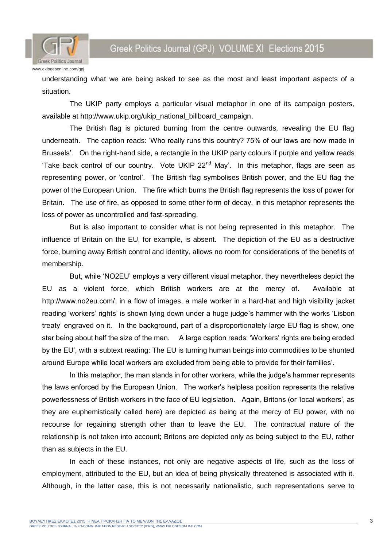Greek Politics Journal (GPJ) VOLUME XI Elections 2015



understanding what we are being asked to see as the most and least important aspects of a situation.

The UKIP party employs a particular visual metaphor in one of its campaign posters, available at [http://www.ukip.org/ukip\\_national\\_billboard\\_campaign.](http://www.ukip.org/ukip_national_billboard_campaign)

The British flag is pictured burning from the centre outwards, revealing the EU flag underneath. The caption reads: 'Who really runs this country? 75% of our laws are now made in Brussels'. On the right-hand side, a rectangle in the UKIP party colours if purple and yellow reads 'Take back control of our country. Vote UKIP 22<sup>nd</sup> May'. In this metaphor, flags are seen as representing power, or 'control'. The British flag symbolises British power, and the EU flag the power of the European Union. The fire which burns the British flag represents the loss of power for Britain. The use of fire, as opposed to some other form of decay, in this metaphor represents the loss of power as uncontrolled and fast-spreading.

But is also important to consider what is not being represented in this metaphor. The influence of Britain on the EU, for example, is absent. The depiction of the EU as a destructive force, burning away British control and identity, allows no room for considerations of the benefits of membership.

But, while 'NO2EU' employs a very different visual metaphor, they nevertheless depict the EU as a violent force, which British workers are at the mercy of. Available at [http://www.no2eu.com/,](http://www.no2eu.com/) in a flow of images, a male worker in a hard-hat and high visibility jacket reading 'workers' rights' is shown lying down under a huge judge's hammer with the works 'Lisbon treaty' engraved on it. In the background, part of a disproportionately large EU flag is show, one star being about half the size of the man. A large caption reads: 'Workers' rights are being eroded by the EU', with a subtext reading: The EU is turning human beings into commodities to be shunted around Europe while local workers are excluded from being able to provide for their families'.

In this metaphor, the man stands in for other workers, while the judge's hammer represents the laws enforced by the European Union. The worker's helpless position represents the relative powerlessness of British workers in the face of EU legislation. Again, Britons (or 'local workers', as they are euphemistically called here) are depicted as being at the mercy of EU power, with no recourse for regaining strength other than to leave the EU. The contractual nature of the relationship is not taken into account; Britons are depicted only as being subject to the EU, rather than as subjects in the EU.

In each of these instances, not only are negative aspects of life, such as the loss of employment, attributed to the EU, but an idea of being physically threatened is associated with it. Although, in the latter case, this is not necessarily nationalistic, such representations serve to